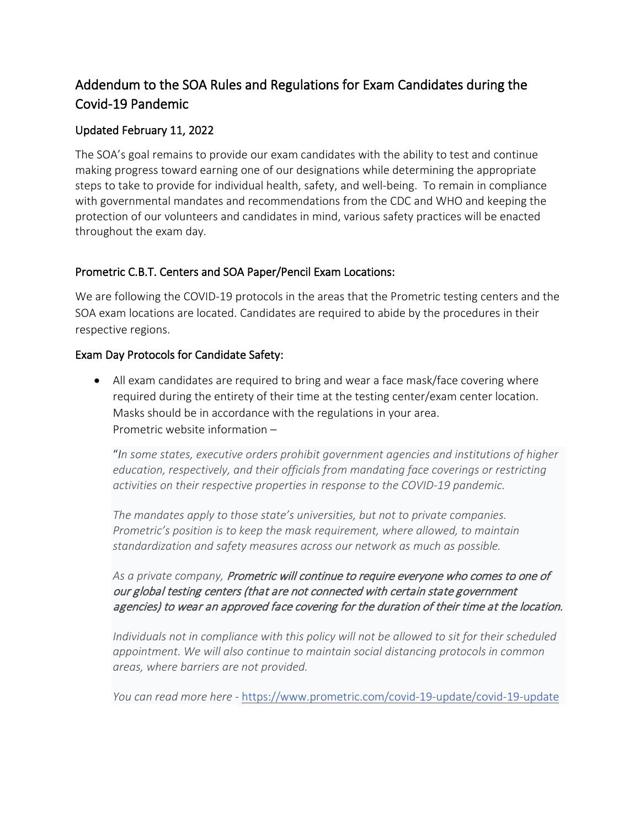# Addendum to the SOA Rules and Regulations for Exam Candidates during the Covid‐19 Pandemic

### Updated February 11, 2022

The SOA's goal remains to provide our exam candidates with the ability to test and continue making progress toward earning one of our designations while determining the appropriate steps to take to provide for individual health, safety, and well‐being. To remain in compliance with governmental mandates and recommendations from the CDC and WHO and keeping the protection of our volunteers and candidates in mind, various safety practices will be enacted throughout the exam day.

#### Prometric C.B.T. Centers and SOA Paper/Pencil Exam Locations:

We are following the COVID-19 protocols in the areas that the Prometric testing centers and the SOA exam locations are located. Candidates are required to abide by the procedures in their respective regions.

#### Exam Day Protocols for Candidate Safety:

• All exam candidates are required to bring and wear a face mask/face covering where required during the entirety of their time at the testing center/exam center location. Masks should be in accordance with the regulations in your area. Prometric website information –

"*In some states, executive orders prohibit government agencies and institutions of higher education, respectively, and their officials from mandating face coverings or restricting activities on their respective properties in response to the COVID-19 pandemic.*

*The mandates apply to those state's universities, but not to private companies. Prometric's position is to keep the mask requirement, where allowed, to maintain standardization and safety measures across our network as much as possible.*

## *As a private company,* Prometric will continue to require everyone who comes to one of our global testing centers (that are not connected with certain state government agencies) to wear an approved face covering for the duration of their time at the location.

*Individuals not in compliance with this policy will not be allowed to sit for their scheduled appointment. We will also continue to maintain social distancing protocols in common areas, where barriers are not provided.*

*You can read more here -* <https://www.prometric.com/covid-19-update/covid-19-update>